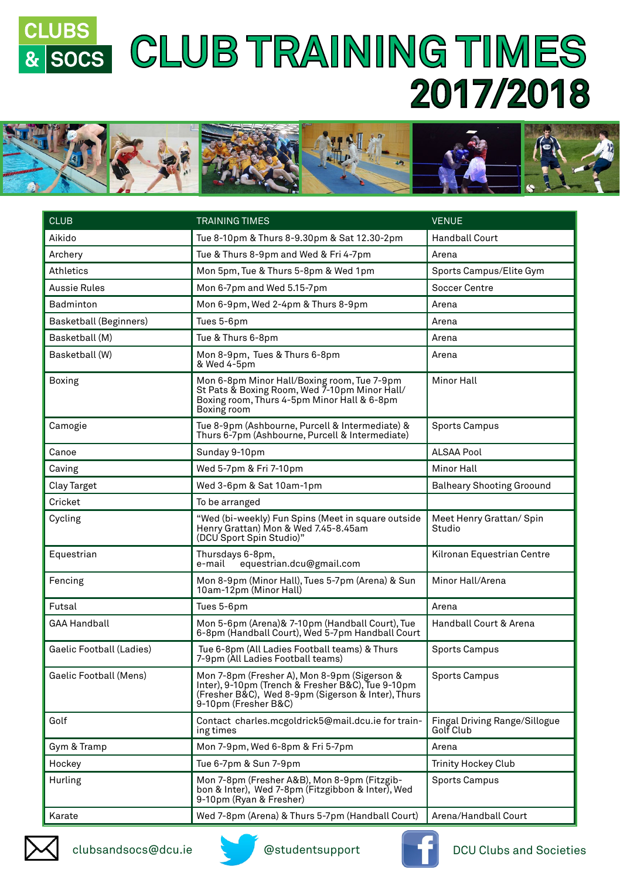## **CLUBS CLUB TRAINING TIMES**  2017/2018



| <b>CLUB</b>              | <b>TRAINING TIMES</b>                                                                                                                                                           | <b>VENUE</b>                               |
|--------------------------|---------------------------------------------------------------------------------------------------------------------------------------------------------------------------------|--------------------------------------------|
| Aikido                   | Tue 8-10pm & Thurs 8-9.30pm & Sat 12.30-2pm                                                                                                                                     | <b>Handball Court</b>                      |
| Archery                  | Tue & Thurs 8-9pm and Wed & Fri 4-7pm                                                                                                                                           | Arena                                      |
| Athletics                | Mon 5pm, Tue & Thurs 5-8pm & Wed 1pm                                                                                                                                            | Sports Campus/Elite Gym                    |
| Aussie Rules             | Mon 6-7pm and Wed 5.15-7pm                                                                                                                                                      | Soccer Centre                              |
| Badminton                | Mon 6-9pm, Wed 2-4pm & Thurs 8-9pm                                                                                                                                              | Arena                                      |
| Basketball (Beginners)   | Tues 5-6pm                                                                                                                                                                      | Arena                                      |
| Basketball (M)           | Tue & Thurs 6-8pm                                                                                                                                                               | Arena                                      |
| Basketball (W)           | Mon 8-9pm, Tues & Thurs 6-8pm<br>& Wed 4-5pm                                                                                                                                    | Arena                                      |
| Boxing                   | Mon 6-8pm Minor Hall/Boxing room, Tue 7-9pm<br>St Pats & Boxing Room, Wed 7-10pm Minor Hall/<br>Boxing room, Thurs 4-5pm Minor Hall & 6-8pm<br>Boxing room                      | Minor Hall                                 |
| Camogie                  | Tue 8-9pm (Ashbourne, Purcell & Intermediate) &<br>Thurs 6-7pm (Ashbourne, Purcell & Intermediate)                                                                              | <b>Sports Campus</b>                       |
| Canoe                    | Sunday 9-10pm                                                                                                                                                                   | ALSAA Pool                                 |
| Caving                   | Wed 5-7pm & Fri 7-10pm                                                                                                                                                          | Minor Hall                                 |
| Clay Target              | Wed 3-6pm & Sat 10am-1pm                                                                                                                                                        | <b>Balheary Shooting Groound</b>           |
| Cricket                  | To be arranged                                                                                                                                                                  |                                            |
| Cycling                  | "Wed (bi-weekly) Fun Spins (Meet in square outside<br>Henry Grattan) Mon & Wed 7.45-8.45am<br>(DCU Sport Spin Studio)"                                                          | Meet Henry Grattan/ Spin<br>Studio         |
| Equestrian               | Thursdays 6-8pm,<br>equestrian.dcu@gmail.com<br>e-mail                                                                                                                          | Kilronan Equestrian Centre                 |
| Fencing                  | Mon 8-9pm (Minor Hall), Tues 5-7pm (Arena) & Sun<br>10am-12pm (Minor Hall)                                                                                                      | Minor Hall/Arena                           |
| Futsal                   | Tues 5-6pm                                                                                                                                                                      | Arena                                      |
| <b>GAA Handball</b>      | Mon 5-6pm (Arena)& 7-10pm (Handball Court), Tue<br>6-8pm (Handball Court), Wed 5-7pm Handball Court                                                                             | Handball Court & Arena                     |
| Gaelic Football (Ladies) | Tue 6-8pm (All Ladies Football teams) & Thurs<br>7-9pm (All Ladies Football teams)                                                                                              | <b>Sports Campus</b>                       |
| Gaelic Football (Mens)   | Mon 7-8pm (Fresher A), Mon 8-9pm (Sigerson &<br>Inter), 9-10pm (Trench & Fresher B&C), Tue 9-10pm<br>(Fresher B&C), Wed 8-9pm (Sigerson & Inter), Thurs<br>9-10pm (Fresher B&C) | <b>Sports Campus</b>                       |
| Golf                     | Contact charles.mcgoldrick5@mail.dcu.ie for train-<br>ing times                                                                                                                 | Fingal Driving Range/Sillogue<br>Golf Club |
| Gym & Tramp              | Mon 7-9pm, Wed 6-8pm & Fri 5-7pm                                                                                                                                                | Arena                                      |
| Hockey                   | Tue 6-7pm & Sun 7-9pm                                                                                                                                                           | Trinity Hockey Club                        |
| Hurling                  | Mon 7-8pm (Fresher A&B), Mon 8-9pm (Fitzgib-<br>bon & Inter), Wed 7-8pm (Fitzgibbon & Inter), Wed<br>9-10pm (Ryan & Fresher)                                                    | <b>Sports Campus</b>                       |
| Karate                   | Wed 7-8pm (Arena) & Thurs 5-7pm (Handball Court)                                                                                                                                | Arena/Handball Court                       |